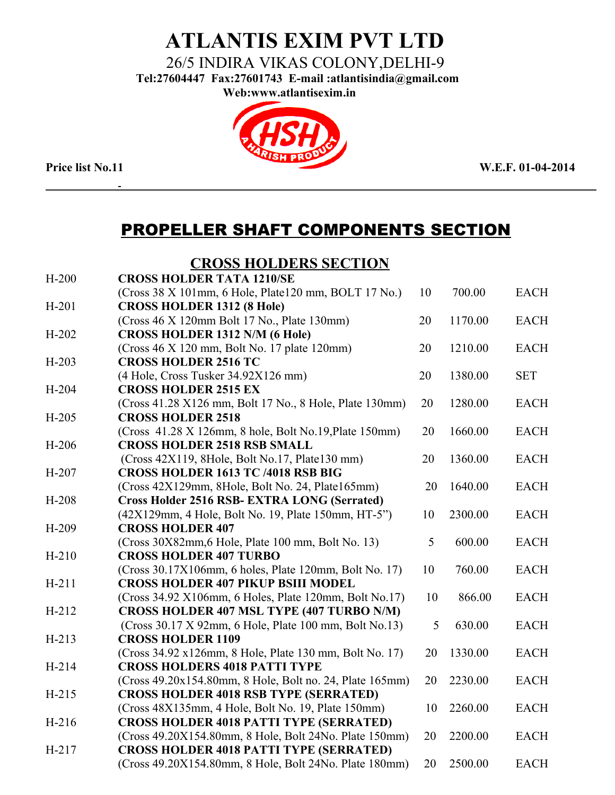## **ATLANTIS EXIM PVT LTD**

26/5 INDIRA VIKAS COLONY,DELHI-9

 **Tel:27604447 Fax:27601743 E-mail :atlantisindia@gmail.com**

**Web:www.atlantisexim.in**



## PROPELLER SHAFT COMPONENTS SECTION

#### **CROSS HOLDERS SECTION**

| $H-200$ | <b>CROSS HOLDER TATA 1210/SE</b>                         |    |         |             |
|---------|----------------------------------------------------------|----|---------|-------------|
|         | (Cross 38 X 101mm, 6 Hole, Plate120 mm, BOLT 17 No.)     | 10 | 700.00  | <b>EACH</b> |
| $H-201$ | <b>CROSS HOLDER 1312 (8 Hole)</b>                        |    |         |             |
|         | (Cross 46 X 120mm Bolt 17 No., Plate 130mm)              | 20 | 1170.00 | <b>EACH</b> |
| $H-202$ | <b>CROSS HOLDER 1312 N/M (6 Hole)</b>                    |    |         |             |
|         | (Cross 46 X 120 mm, Bolt No. 17 plate 120mm)             | 20 | 1210.00 | <b>EACH</b> |
| $H-203$ | <b>CROSS HOLDER 2516 TC</b>                              |    |         |             |
|         | (4 Hole, Cross Tusker 34.92X126 mm)                      | 20 | 1380.00 | <b>SET</b>  |
| $H-204$ | <b>CROSS HOLDER 2515 EX</b>                              |    |         |             |
|         | (Cross 41.28 X126 mm, Bolt 17 No., 8 Hole, Plate 130mm)  | 20 | 1280.00 | <b>EACH</b> |
| $H-205$ | <b>CROSS HOLDER 2518</b>                                 |    |         |             |
|         | (Cross 41.28 X 126mm, 8 hole, Bolt No.19, Plate 150mm)   | 20 | 1660.00 | <b>EACH</b> |
| $H-206$ | <b>CROSS HOLDER 2518 RSB SMALL</b>                       |    |         |             |
|         | (Cross 42X119, 8Hole, Bolt No.17, Plate130 mm)           | 20 | 1360.00 | <b>EACH</b> |
| $H-207$ | <b>CROSS HOLDER 1613 TC /4018 RSB BIG</b>                |    |         |             |
|         | (Cross 42X129mm, 8Hole, Bolt No. 24, Plate165mm)         | 20 | 1640.00 | <b>EACH</b> |
| $H-208$ | <b>Cross Holder 2516 RSB- EXTRA LONG (Serrated)</b>      |    |         |             |
|         | (42X129mm, 4 Hole, Bolt No. 19, Plate 150mm, HT-5")      | 10 | 2300.00 | <b>EACH</b> |
| $H-209$ | <b>CROSS HOLDER 407</b>                                  |    |         |             |
|         | (Cross 30X82mm, 6 Hole, Plate 100 mm, Bolt No. 13)       | 5  | 600.00  | <b>EACH</b> |
| $H-210$ | <b>CROSS HOLDER 407 TURBO</b>                            |    |         |             |
|         | (Cross 30.17X106mm, 6 holes, Plate 120mm, Bolt No. 17)   | 10 | 760.00  | <b>EACH</b> |
| $H-211$ | <b>CROSS HOLDER 407 PIKUP BSIII MODEL</b>                |    |         |             |
|         | (Cross 34.92 X106mm, 6 Holes, Plate 120mm, Bolt No.17)   | 10 | 866.00  | <b>EACH</b> |
| $H-212$ | CROSS HOLDER 407 MSL TYPE (407 TURBO N/M)                |    |         |             |
|         | (Cross 30.17 X 92mm, 6 Hole, Plate 100 mm, Bolt No.13)   | 5  | 630.00  | <b>EACH</b> |
| $H-213$ | <b>CROSS HOLDER 1109</b>                                 |    |         |             |
|         | (Cross 34.92 x126mm, 8 Hole, Plate 130 mm, Bolt No. 17)  | 20 | 1330.00 | <b>EACH</b> |
| $H-214$ | <b>CROSS HOLDERS 4018 PATTI TYPE</b>                     |    |         |             |
|         | (Cross 49.20x154.80mm, 8 Hole, Bolt no. 24, Plate 165mm) | 20 | 2230.00 | <b>EACH</b> |
| $H-215$ | <b>CROSS HOLDER 4018 RSB TYPE (SERRATED)</b>             |    |         |             |
|         | (Cross 48X135mm, 4 Hole, Bolt No. 19, Plate 150mm)       | 10 | 2260.00 | <b>EACH</b> |
| $H-216$ | <b>CROSS HOLDER 4018 PATTI TYPE (SERRATED)</b>           |    |         |             |
|         | (Cross 49.20X154.80mm, 8 Hole, Bolt 24No. Plate 150mm)   | 20 | 2200.00 | <b>EACH</b> |
| $H-217$ | <b>CROSS HOLDER 4018 PATTI TYPE (SERRATED)</b>           |    |         |             |
|         | (Cross 49.20X154.80mm, 8 Hole, Bolt 24No. Plate 180mm)   | 20 | 2500.00 | <b>EACH</b> |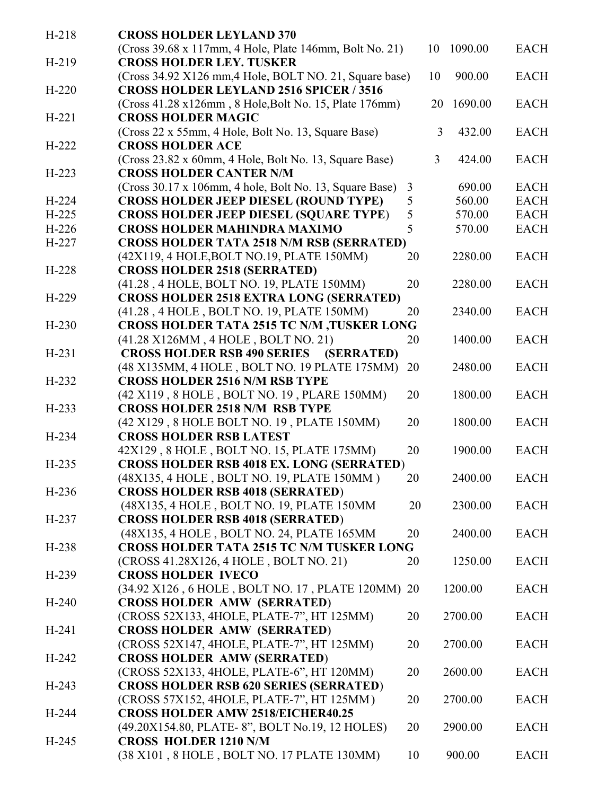| $H-218$ | <b>CROSS HOLDER LEYLAND 370</b>                         |    |    |         |             |
|---------|---------------------------------------------------------|----|----|---------|-------------|
|         | (Cross 39.68 x 117mm, 4 Hole, Plate 146mm, Bolt No. 21) |    | 10 | 1090.00 | <b>EACH</b> |
| $H-219$ | <b>CROSS HOLDER LEY. TUSKER</b>                         |    |    |         |             |
|         | (Cross 34.92 X126 mm, 4 Hole, BOLT NO. 21, Square base) |    | 10 | 900.00  | <b>EACH</b> |
| $H-220$ | <b>CROSS HOLDER LEYLAND 2516 SPICER / 3516</b>          |    |    |         |             |
|         | (Cross 41.28 x126mm, 8 Hole, Bolt No. 15, Plate 176mm)  |    | 20 | 1690.00 | <b>EACH</b> |
| $H-221$ | <b>CROSS HOLDER MAGIC</b>                               |    |    |         |             |
|         | (Cross 22 x 55mm, 4 Hole, Bolt No. 13, Square Base)     |    | 3  | 432.00  | <b>EACH</b> |
| $H-222$ | <b>CROSS HOLDER ACE</b>                                 |    |    |         |             |
|         | (Cross 23.82 x 60mm, 4 Hole, Bolt No. 13, Square Base)  |    | 3  | 424.00  | <b>EACH</b> |
| $H-223$ | <b>CROSS HOLDER CANTER N/M</b>                          |    |    |         |             |
|         |                                                         |    |    |         |             |
|         | (Cross 30.17 x 106mm, 4 hole, Bolt No. 13, Square Base) | 3  |    | 690.00  | <b>EACH</b> |
| $H-224$ | <b>CROSS HOLDER JEEP DIESEL (ROUND TYPE)</b>            | 5  |    | 560.00  | <b>EACH</b> |
| $H-225$ | <b>CROSS HOLDER JEEP DIESEL (SQUARE TYPE)</b>           | 5  |    | 570.00  | <b>EACH</b> |
| $H-226$ | <b>CROSS HOLDER MAHINDRA MAXIMO</b>                     | 5  |    | 570.00  | <b>EACH</b> |
| H-227   | <b>CROSS HOLDER TATA 2518 N/M RSB (SERRATED)</b>        |    |    |         |             |
|         | (42X119, 4 HOLE, BOLT NO.19, PLATE 150MM)               | 20 |    | 2280.00 | <b>EACH</b> |
| $H-228$ | <b>CROSS HOLDER 2518 (SERRATED)</b>                     |    |    |         |             |
|         | (41.28, 4 HOLE, BOLT NO. 19, PLATE 150MM)               | 20 |    | 2280.00 | <b>EACH</b> |
| $H-229$ | <b>CROSS HOLDER 2518 EXTRA LONG (SERRATED)</b>          |    |    |         |             |
|         | (41.28, 4 HOLE, BOLT NO. 19, PLATE 150MM)               | 20 |    | 2340.00 | <b>EACH</b> |
| $H-230$ | <b>CROSS HOLDER TATA 2515 TC N/M ,TUSKER LONG</b>       |    |    |         |             |
|         | (41.28 X126MM, 4 HOLE, BOLT NO. 21)                     | 20 |    | 1400.00 | <b>EACH</b> |
| $H-231$ | <b>CROSS HOLDER RSB 490 SERIES (SERRATED)</b>           |    |    |         |             |
|         | (48 X135MM, 4 HOLE, BOLT NO. 19 PLATE 175MM)            | 20 |    | 2480.00 | <b>EACH</b> |
| $H-232$ | <b>CROSS HOLDER 2516 N/M RSB TYPE</b>                   |    |    |         |             |
|         | (42 X119, 8 HOLE, BOLT NO. 19, PLARE 150MM)             | 20 |    | 1800.00 | <b>EACH</b> |
| $H-233$ | <b>CROSS HOLDER 2518 N/M RSB TYPE</b>                   |    |    |         |             |
|         | (42 X129, 8 HOLE BOLT NO. 19, PLATE 150MM)              | 20 |    | 1800.00 | <b>EACH</b> |
| $H-234$ | <b>CROSS HOLDER RSB LATEST</b>                          |    |    |         |             |
|         | 42X129, 8 HOLE, BOLT NO. 15, PLATE 175MM)               | 20 |    | 1900.00 | <b>EACH</b> |
| $H-235$ | <b>CROSS HOLDER RSB 4018 EX. LONG (SERRATED)</b>        |    |    |         |             |
|         | (48X135, 4 HOLE, BOLT NO. 19, PLATE 150MM)              | 20 |    | 2400.00 | EACH        |
| $H-236$ |                                                         |    |    |         |             |
|         | <b>CROSS HOLDER RSB 4018 (SERRATED)</b>                 |    |    |         |             |
|         | (48X135, 4 HOLE, BOLT NO. 19, PLATE 150MM               | 20 |    | 2300.00 | <b>EACH</b> |
| $H-237$ | <b>CROSS HOLDER RSB 4018 (SERRATED)</b>                 |    |    |         |             |
|         | (48X135, 4 HOLE, BOLT NO. 24, PLATE 165MM               | 20 |    | 2400.00 | <b>EACH</b> |
| $H-238$ | <b>CROSS HOLDER TATA 2515 TC N/M TUSKER LONG</b>        |    |    |         |             |
|         | (CROSS 41.28X126, 4 HOLE, BOLT NO. 21)                  | 20 |    | 1250.00 | <b>EACH</b> |
| $H-239$ | <b>CROSS HOLDER IVECO</b>                               |    |    |         |             |
|         | (34.92 X126, 6 HOLE, BOLT NO. 17, PLATE 120MM)          | 20 |    | 1200.00 | <b>EACH</b> |
| $H-240$ | <b>CROSS HOLDER AMW (SERRATED)</b>                      |    |    |         |             |
|         | (CROSS 52X133, 4HOLE, PLATE-7", HT 125MM)               | 20 |    | 2700.00 | <b>EACH</b> |
| $H-241$ | <b>CROSS HOLDER AMW (SERRATED)</b>                      |    |    |         |             |
|         | (CROSS 52X147, 4HOLE, PLATE-7", HT 125MM)               | 20 |    | 2700.00 | <b>EACH</b> |
| $H-242$ | <b>CROSS HOLDER AMW (SERRATED)</b>                      |    |    |         |             |
|         | (CROSS 52X133, 4HOLE, PLATE-6", HT 120MM)               | 20 |    | 2600.00 | <b>EACH</b> |
| $H-243$ | <b>CROSS HOLDER RSB 620 SERIES (SERRATED)</b>           |    |    |         |             |
|         | (CROSS 57X152, 4HOLE, PLATE-7", HT 125MM)               | 20 |    | 2700.00 | <b>EACH</b> |
| H-244   | <b>CROSS HOLDER AMW 2518/EICHER40.25</b>                |    |    |         |             |
|         | (49.20X154.80, PLATE-8", BOLT No.19, 12 HOLES)          | 20 |    | 2900.00 | <b>EACH</b> |
| $H-245$ | <b>CROSS HOLDER 1210 N/M</b>                            |    |    |         |             |
|         | (38 X101, 8 HOLE, BOLT NO. 17 PLATE 130MM)              | 10 |    | 900.00  | <b>EACH</b> |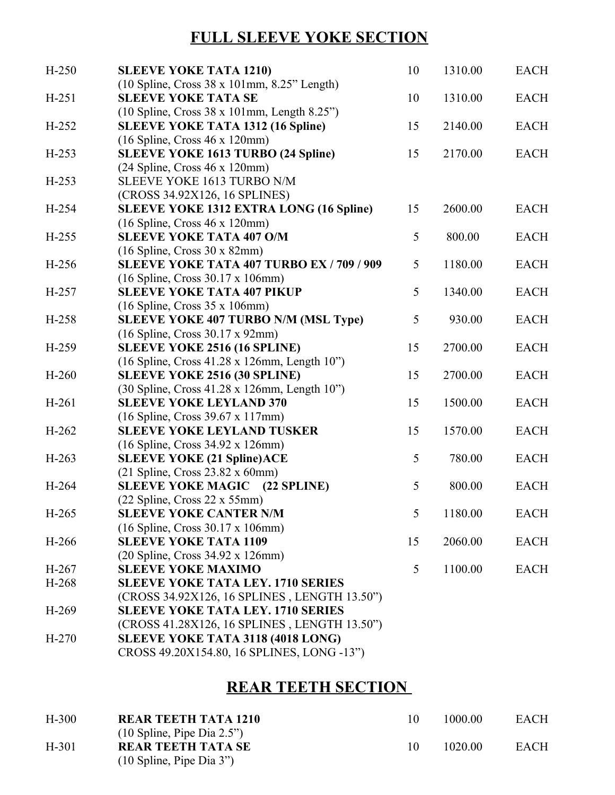## **FULL SLEEVE YOKE SECTION**

| $H-250$<br>10<br>1310.00<br><b>SLEEVE YOKE TATA 1210)</b><br>$(10$ Spline, Cross 38 x 101mm, 8.25" Length)  | <b>EACH</b> |
|-------------------------------------------------------------------------------------------------------------|-------------|
| $H-251$<br><b>SLEEVE YOKE TATA SE</b><br>10<br>1310.00                                                      | <b>EACH</b> |
| (10 Spline, Cross 38 x 101mm, Length 8.25")                                                                 |             |
| <b>SLEEVE YOKE TATA 1312 (16 Spline)</b><br>15<br>$H-252$<br>2140.00                                        | <b>EACH</b> |
| $(16$ Spline, Cross $46$ x 120mm)                                                                           |             |
| <b>SLEEVE YOKE 1613 TURBO (24 Spline)</b><br>$H-253$<br>15<br>2170.00                                       | <b>EACH</b> |
| (24 Spline, Cross 46 x 120mm)                                                                               |             |
| $H-253$<br>SLEEVE YOKE 1613 TURBO N/M                                                                       |             |
| (CROSS 34.92X126, 16 SPLINES)                                                                               |             |
| <b>SLEEVE YOKE 1312 EXTRA LONG (16 Spline)</b><br>H-254<br>15<br>2600.00                                    | <b>EACH</b> |
| $(16$ Spline, Cross $46$ x 120mm)                                                                           |             |
| 5<br><b>SLEEVE YOKE TATA 407 O/M</b><br>$H-255$<br>800.00                                                   | <b>EACH</b> |
| $(16$ Spline, Cross $30$ x 82mm)                                                                            |             |
| SLEEVE YOKE TATA 407 TURBO EX / 709 / 909<br>H-256<br>5<br>1180.00                                          | <b>EACH</b> |
| (16 Spline, Cross 30.17 x 106mm)                                                                            |             |
| <b>SLEEVE YOKE TATA 407 PIKUP</b><br>5<br>$H-257$<br>1340.00                                                | <b>EACH</b> |
| $(16$ Spline, Cross 35 x 106mm)                                                                             |             |
| <b>SLEEVE YOKE 407 TURBO N/M (MSL Type)</b><br>5<br>$H-258$<br>930.00                                       | <b>EACH</b> |
| (16 Spline, Cross 30.17 x 92mm)<br>2700.00                                                                  | <b>EACH</b> |
| <b>SLEEVE YOKE 2516 (16 SPLINE)</b><br>$H-259$<br>15<br>$(16$ Spline, Cross $41.28$ x 126mm, Length $10$ ") |             |
| <b>SLEEVE YOKE 2516 (30 SPLINE)</b><br>15<br>$H-260$<br>2700.00                                             | <b>EACH</b> |
| (30 Spline, Cross 41.28 x 126mm, Length 10")                                                                |             |
| <b>SLEEVE YOKE LEYLAND 370</b><br>$H-261$<br>15<br>1500.00                                                  | <b>EACH</b> |
| (16 Spline, Cross 39.67 x 117mm)                                                                            |             |
| $H-262$<br><b>SLEEVE YOKE LEYLAND TUSKER</b><br>15<br>1570.00                                               | <b>EACH</b> |
| (16 Spline, Cross 34.92 x 126mm)                                                                            |             |
| <b>SLEEVE YOKE (21 Spline) ACE</b><br>5<br>$H-263$<br>780.00                                                | <b>EACH</b> |
| $(21$ Spline, Cross 23.82 x 60mm)                                                                           |             |
| SLEEVE YOKE MAGIC (22 SPLINE)<br>5<br>$H-264$<br>800.00                                                     | <b>EACH</b> |
| (22 Spline, Cross 22 x 55mm)                                                                                |             |
| H-265<br>5 <sup>5</sup><br>1180.00<br><b>SLEEVE YOKE CANTER N/M</b>                                         | <b>EACH</b> |
| $(16$ Spline, Cross 30.17 x 106mm)                                                                          |             |
| <b>SLEEVE YOKE TATA 1109</b><br>15<br>2060.00<br>$H-266$                                                    | <b>EACH</b> |
| (20 Spline, Cross 34.92 x 126mm)                                                                            |             |
| <b>SLEEVE YOKE MAXIMO</b><br>$H-267$<br>5<br>1100.00                                                        | <b>EACH</b> |
| $H-268$<br><b>SLEEVE YOKE TATA LEY. 1710 SERIES</b>                                                         |             |
| (CROSS 34.92X126, 16 SPLINES, LENGTH 13.50")                                                                |             |
| <b>SLEEVE YOKE TATA LEY. 1710 SERIES</b><br>$H-269$                                                         |             |
| (CROSS 41.28X126, 16 SPLINES, LENGTH 13.50")                                                                |             |
| SLEEVE YOKE TATA 3118 (4018 LONG)<br>$H-270$                                                                |             |
| CROSS 49.20X154.80, 16 SPLINES, LONG -13")                                                                  |             |

## **REAR TEETH SECTION**

| H-300 | <b>REAR TEETH TATA 1210</b>                  | 1000 00 | <b>EACH</b> |
|-------|----------------------------------------------|---------|-------------|
|       | $(10 \text{ Spline}, \text{Pipe Dia } 2.5")$ |         |             |
| H-301 | <b>REAR TEETH TATA SE</b>                    | 1020 00 | <b>EACH</b> |
|       | $(10 \text{ Spline}, \text{Pipe Dia } 3")$   |         |             |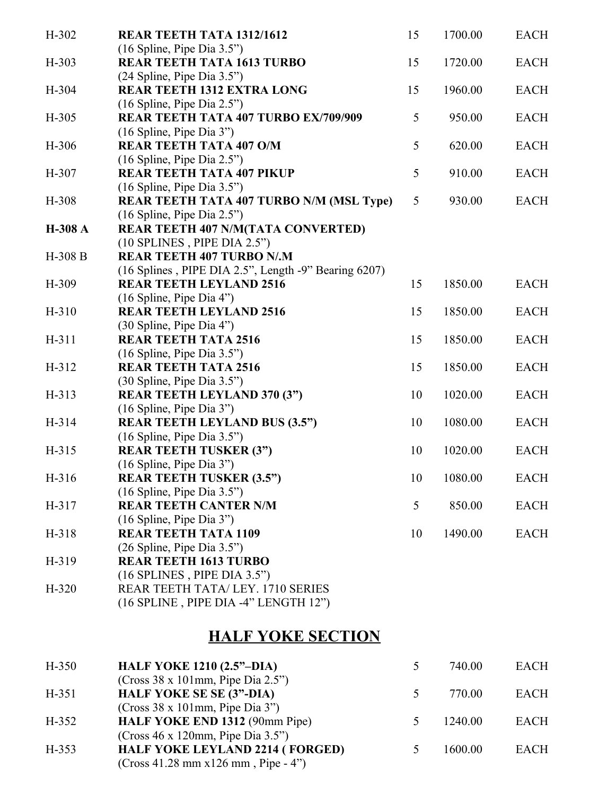| $H-302$ | REAR TEETH TATA 1312/1612                                              | 15 | 1700.00 | <b>EACH</b> |
|---------|------------------------------------------------------------------------|----|---------|-------------|
| $H-303$ | $(16$ Spline, Pipe Dia 3.5")<br><b>REAR TEETH TATA 1613 TURBO</b>      | 15 | 1720.00 | <b>EACH</b> |
|         | (24 Spline, Pipe Dia 3.5")                                             |    |         |             |
| H-304   | <b>REAR TEETH 1312 EXTRA LONG</b>                                      | 15 | 1960.00 | <b>EACH</b> |
|         | (16 Spline, Pipe Dia 2.5")                                             |    |         |             |
| $H-305$ | REAR TEETH TATA 407 TURBO EX/709/909                                   | 5  | 950.00  | <b>EACH</b> |
|         | (16 Spline, Pipe Dia 3")                                               |    |         |             |
| H-306   | <b>REAR TEETH TATA 407 O/M</b>                                         | 5  | 620.00  | <b>EACH</b> |
|         | (16 Spline, Pipe Dia 2.5")                                             |    |         |             |
| H-307   | <b>REAR TEETH TATA 407 PIKUP</b>                                       | 5  | 910.00  | <b>EACH</b> |
| H-308   | (16 Spline, Pipe Dia 3.5")<br>REAR TEETH TATA 407 TURBO N/M (MSL Type) | 5  | 930.00  | <b>EACH</b> |
|         | $(16$ Spline, Pipe Dia 2.5")                                           |    |         |             |
| H-308 A | REAR TEETH 407 N/M(TATA CONVERTED)                                     |    |         |             |
|         | $(10$ SPLINES, PIPE DIA $2.5$ ")                                       |    |         |             |
| H-308 B | <b>REAR TEETH 407 TURBO N/M</b>                                        |    |         |             |
|         | (16 Splines, PIPE DIA 2.5", Length -9" Bearing 6207)                   |    |         |             |
| H-309   | <b>REAR TEETH LEYLAND 2516</b>                                         | 15 | 1850.00 | <b>EACH</b> |
|         | $(16$ Spline, Pipe Dia 4")                                             |    |         |             |
| $H-310$ | <b>REAR TEETH LEYLAND 2516</b>                                         | 15 | 1850.00 | <b>EACH</b> |
|         | (30 Spline, Pipe Dia 4")                                               |    |         |             |
| H-311   | <b>REAR TEETH TATA 2516</b>                                            | 15 | 1850.00 | <b>EACH</b> |
| $H-312$ | (16 Spline, Pipe Dia 3.5")<br><b>REAR TEETH TATA 2516</b>              | 15 | 1850.00 | <b>EACH</b> |
|         | (30 Spline, Pipe Dia 3.5")                                             |    |         |             |
| $H-313$ | <b>REAR TEETH LEYLAND 370 (3")</b>                                     | 10 | 1020.00 | <b>EACH</b> |
|         | (16 Spline, Pipe Dia 3")                                               |    |         |             |
| H-314   | <b>REAR TEETH LEYLAND BUS (3.5")</b>                                   | 10 | 1080.00 | <b>EACH</b> |
|         | (16 Spline, Pipe Dia 3.5")                                             |    |         |             |
| $H-315$ | <b>REAR TEETH TUSKER (3")</b>                                          | 10 | 1020.00 | <b>EACH</b> |
|         | (16 Spline, Pipe Dia 3")                                               |    |         |             |
| H-316   | <b>REAR TEETH TUSKER (3.5")</b>                                        | 10 | 1080.00 | <b>EACH</b> |
| $H-317$ | $(16$ Spline, Pipe Dia 3.5")<br><b>REAR TEETH CANTER N/M</b>           | 5  | 850.00  | <b>EACH</b> |
|         | $(16$ Spline, Pipe Dia 3")                                             |    |         |             |
| H-318   | <b>REAR TEETH TATA 1109</b>                                            | 10 | 1490.00 | <b>EACH</b> |
|         | (26 Spline, Pipe Dia 3.5")                                             |    |         |             |
| $H-319$ | <b>REAR TEETH 1613 TURBO</b>                                           |    |         |             |
|         | $(16$ SPLINES, PIPE DIA 3.5")                                          |    |         |             |
| $H-320$ | REAR TEETH TATA/LEY, 1710 SERIES                                       |    |         |             |
|         | (16 SPLINE, PIPE DIA -4" LENGTH 12")                                   |    |         |             |

## **HALF YOKE SECTION**

| $H-350$ | <b>HALF YOKE 1210 (2.5"–DIA)</b>                                                | 740.00  | <b>EACH</b> |
|---------|---------------------------------------------------------------------------------|---------|-------------|
| $H-351$ | (Cross 38 x 101mm, Pipe Dia 2.5")<br><b>HALF YOKE SE SE (3"-DIA)</b>            | 770.00  | <b>EACH</b> |
|         | (Cross 38 x 101mm, Pipe Dia 3")                                                 |         |             |
| $H-352$ | HALF YOKE END 1312 (90mm Pipe)                                                  | 1240.00 | <b>EACH</b> |
|         | (Cross 46 x 120mm, Pipe Dia 3.5")                                               |         |             |
| $H-353$ | <b>HALF YOKE LEYLAND 2214 (FORGED)</b><br>$(Cross 41.28 mm x126 mm, Pipe - 4")$ | 1600.00 | <b>EACH</b> |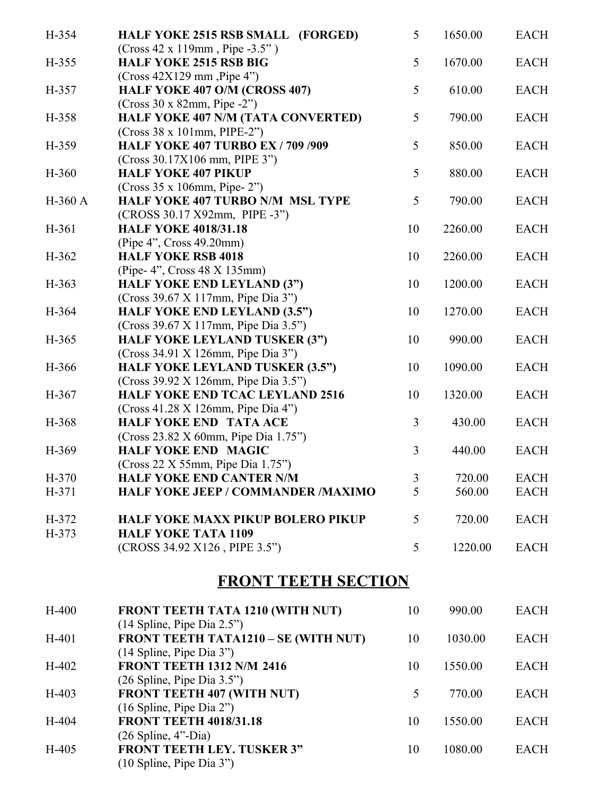| H-354   | HALF YOKE 2515 RSB SMALL (FORGED)                     | 5              | 1650.00 | <b>EACH</b> |
|---------|-------------------------------------------------------|----------------|---------|-------------|
|         | $(Cross 42 x 119mm, Pipe -3.5")$                      |                |         |             |
| H-355   | <b>HALF YOKE 2515 RSB BIG</b>                         | 5              | 1670.00 | <b>EACH</b> |
|         | $(Cross 42X129$ mm, Pipe 4")                          |                |         |             |
| H-357   | HALF YOKE 407 O/M (CROSS 407)                         | 5              | 610.00  | <b>EACH</b> |
|         | $(Cross 30 x 82mm, Pipe -2")$                         |                |         |             |
| H-358   | HALF YOKE 407 N/M (TATA CONVERTED)                    | 5              | 790.00  | <b>EACH</b> |
|         | $(Cross 38 x 101mm, PIPE-2")$                         |                |         |             |
| H-359   | <b>HALF YOKE 407 TURBO EX / 709 /909</b>              | 5              | 850.00  | <b>EACH</b> |
|         | (Cross 30.17X106 mm, PIPE 3")                         |                |         |             |
| $H-360$ | <b>HALF YOKE 407 PIKUP</b>                            | 5              | 880.00  | <b>EACH</b> |
|         | $(Cross 35 x 106mm, Pipe-2")$                         |                |         |             |
| H-360 A | <b>HALF YOKE 407 TURBO N/M MSL TYPE</b>               | 5              | 790.00  | <b>EACH</b> |
|         | (CROSS 30.17 X92mm, PIPE -3")                         |                |         |             |
| H-361   | <b>HALF YOKE 4018/31.18</b>                           | 10             | 2260.00 | <b>EACH</b> |
| H-362   | (Pipe 4", Cross 49.20mm)<br><b>HALF YOKE RSB 4018</b> | 10             | 2260.00 | <b>EACH</b> |
|         | (Pipe- 4", Cross 48 X 135mm)                          |                |         |             |
| $H-363$ | <b>HALF YOKE END LEYLAND (3")</b>                     | 10             | 1200.00 | <b>EACH</b> |
|         | (Cross 39.67 X 117mm, Pipe Dia 3")                    |                |         |             |
| H-364   | <b>HALF YOKE END LEYLAND (3.5")</b>                   | 10             | 1270.00 | <b>EACH</b> |
|         | (Cross 39.67 X 117mm, Pipe Dia 3.5")                  |                |         |             |
| H-365   | <b>HALF YOKE LEYLAND TUSKER (3")</b>                  | 10             | 990.00  | <b>EACH</b> |
|         | (Cross 34.91 X 126mm, Pipe Dia 3")                    |                |         |             |
| H-366   | <b>HALF YOKE LEYLAND TUSKER (3.5")</b>                | 10             | 1090.00 | <b>EACH</b> |
|         | (Cross 39.92 X 126mm, Pipe Dia 3.5")                  |                |         |             |
| H-367   | <b>HALF YOKE END TCAC LEYLAND 2516</b>                | 10             | 1320.00 | <b>EACH</b> |
|         | (Cross 41.28 X 126mm, Pipe Dia 4")                    |                |         |             |
| H-368   | <b>HALF YOKE END TATA ACE</b>                         | 3              | 430.00  | <b>EACH</b> |
|         | (Cross 23.82 X 60mm, Pipe Dia 1.75")                  |                |         |             |
| H-369   | <b>HALF YOKE END MAGIC</b>                            | $\overline{3}$ | 440.00  | <b>EACH</b> |
|         | (Cross 22 X 55mm, Pipe Dia 1.75")                     |                |         |             |
| H-370   | <b>HALF YOKE END CANTER N/M</b>                       | $\mathfrak{Z}$ | 720.00  | <b>EACH</b> |
| H-371   | <b>HALF YOKE JEEP / COMMANDER /MAXIMO</b>             | 5              | 560.00  | <b>EACH</b> |
|         |                                                       |                |         |             |
| H-372   | <b>HALF YOKE MAXX PIKUP BOLERO PIKUP</b>              | 5              | 720.00  | <b>EACH</b> |
| $H-373$ | <b>HALF YOKE TATA 1109</b>                            |                |         |             |
|         | (CROSS 34.92 X126, PIPE 3.5")                         | 5              | 1220.00 | <b>EACH</b> |
|         |                                                       |                |         |             |
|         | <b>FRONT TEETH SECTION</b>                            |                |         |             |
| $H-400$ | FRONT TEETH TATA 1210 (WITH NUT)                      | 10             | 990.00  | <b>EACH</b> |
|         | (14 Spline, Pipe Dia 2.5")                            |                |         |             |
| $H-401$ | FRONT TEETH TATA1210 - SE (WITH NUT)                  | 10             | 1030.00 | <b>EACH</b> |
|         | (14 Spline, Pipe Dia 3")                              |                |         |             |
| $H-402$ | <b>FRONT TEETH 1312 N/M 2416</b>                      | 10             | 1550.00 | <b>EACH</b> |
|         | (26 Spline, Pipe Dia 3.5")                            |                |         |             |
| $H-403$ | FRONT TEETH 407 (WITH NUT)                            | 5              | 770.00  | <b>EACH</b> |
|         | (16 Spline, Pipe Dia 2")                              |                |         |             |
| H-404   | <b>FRONT TEETH 4018/31.18</b>                         | 10             | 1550.00 | <b>EACH</b> |
|         | $(26 Spline, 4"$ -Dia)                                |                |         |             |
| $H-405$ | <b>FRONT TEETH LEY. TUSKER 3"</b>                     | 10             | 1080.00 | <b>EACH</b> |
|         | (10 Spline, Pipe Dia 3")                              |                |         |             |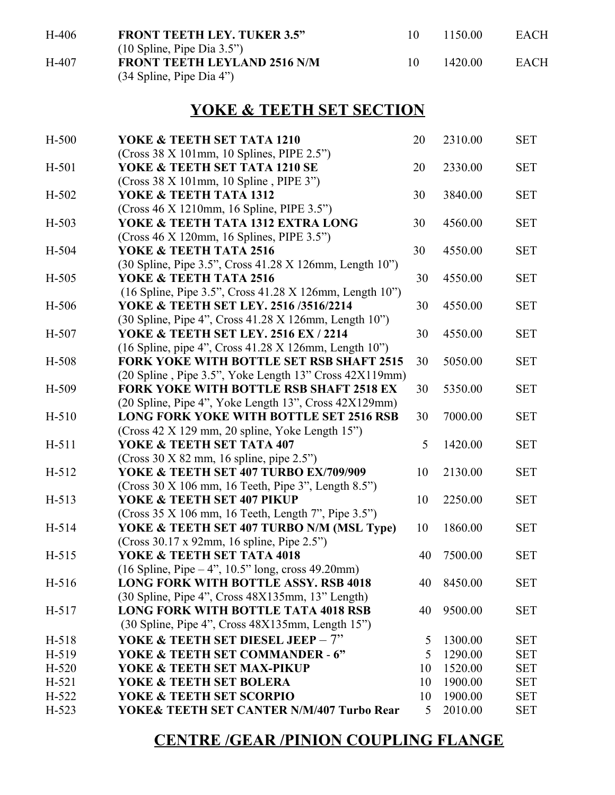| H-406 | <b>FRONT TEETH LEY. TUKER 3.5"</b>                                                  |    | 1150.00 | <b>EACH</b> |
|-------|-------------------------------------------------------------------------------------|----|---------|-------------|
| H-407 | $(10 \text{ Spline}, \text{Pipe Dia } 3.5")$<br><b>FRONT TEETH LEYLAND 2516 N/M</b> | 10 | 1420 00 | <b>EACH</b> |
|       | $(34$ Spline, Pipe Dia 4")                                                          |    |         |             |

## **YOKE & TEETH SET SECTION**

| $H-500$ | YOKE & TEETH SET TATA 1210                               | 20 | 2310.00    | <b>SET</b> |
|---------|----------------------------------------------------------|----|------------|------------|
|         | $(Cross 38 X 101mm, 10 Splines, PIPE 2.5")$              |    |            |            |
| H-501   | YOKE & TEETH SET TATA 1210 SE                            | 20 | 2330.00    | <b>SET</b> |
|         | (Cross 38 X 101mm, 10 Spline, PIPE 3")                   |    |            |            |
| $H-502$ | YOKE & TEETH TATA 1312                                   | 30 | 3840.00    | <b>SET</b> |
|         | (Cross 46 X 1210mm, 16 Spline, PIPE 3.5")                |    |            |            |
| $H-503$ | YOKE & TEETH TATA 1312 EXTRA LONG                        | 30 | 4560.00    | <b>SET</b> |
|         | $(Cross 46 X 120mm, 16 Splines, PIPE 3.5")$              |    |            |            |
| H-504   | YOKE & TEETH TATA 2516                                   | 30 | 4550.00    | <b>SET</b> |
|         | (30 Spline, Pipe 3.5", Cross 41.28 X 126mm, Length 10")  |    |            |            |
| $H-505$ | YOKE & TEETH TATA 2516                                   | 30 | 4550.00    | <b>SET</b> |
|         | (16 Spline, Pipe 3.5", Cross 41.28 X 126mm, Length 10")  |    |            |            |
| H-506   | YOKE & TEETH SET LEY. 2516 /3516/2214                    | 30 | 4550.00    | <b>SET</b> |
|         | (30 Spline, Pipe 4", Cross 41.28 X 126mm, Length 10")    |    |            |            |
| H-507   | YOKE & TEETH SET LEY. 2516 EX / 2214                     | 30 | 4550.00    | <b>SET</b> |
|         | (16 Spline, pipe 4", Cross 41.28 X 126mm, Length 10")    |    |            |            |
| H-508   | <b>FORK YOKE WITH BOTTLE SET RSB SHAFT 2515</b>          | 30 | 5050.00    | <b>SET</b> |
|         | (20 Spline, Pipe 3.5", Yoke Length 13" Cross 42X119mm)   |    |            |            |
| H-509   | <b>FORK YOKE WITH BOTTLE RSB SHAFT 2518 EX</b>           | 30 | 5350.00    | <b>SET</b> |
|         | (20 Spline, Pipe 4", Yoke Length 13", Cross 42X129mm)    |    |            |            |
| $H-510$ | <b>LONG FORK YOKE WITH BOTTLE SET 2516 RSB</b>           | 30 | 7000.00    | <b>SET</b> |
|         | (Cross 42 X 129 mm, 20 spline, Yoke Length 15")          |    |            |            |
| $H-511$ | YOKE & TEETH SET TATA 407                                | 5  | 1420.00    | <b>SET</b> |
|         | $(Cross 30 X 82 mm, 16 spline, pipe 2.5")$               |    |            |            |
| $H-512$ | YOKE & TEETH SET 407 TURBO EX/709/909                    | 10 | 2130.00    | <b>SET</b> |
|         | $(Cross 30 X 106 mm, 16 Tech, Pipe 3$ ", Length $8.5$ ") |    |            |            |
| $H-513$ | YOKE & TEETH SET 407 PIKUP                               | 10 | 2250.00    | <b>SET</b> |
|         | $(Cross 35 X 106 mm, 16 Tech, Length 7", Pipe 3.5")$     |    |            |            |
| H-514   | YOKE & TEETH SET 407 TURBO N/M (MSL Type)                | 10 | 1860.00    | <b>SET</b> |
|         | (Cross 30.17 x 92mm, 16 spline, Pipe 2.5")               |    |            |            |
| $H-515$ | YOKE & TEETH SET TATA 4018                               | 40 | 7500.00    | <b>SET</b> |
|         | $(16 Spline, Pipe-4", 10.5" long, cross 49.20mm)$        |    |            |            |
| H-516   | <b>LONG FORK WITH BOTTLE ASSY. RSB 4018</b>              |    | 40 8450.00 | <b>SET</b> |
|         | (30 Spline, Pipe 4", Cross 48X135mm, 13" Length)         |    |            |            |
| $H-517$ | <b>LONG FORK WITH BOTTLE TATA 4018 RSB</b>               | 40 | 9500.00    | <b>SET</b> |
|         | (30 Spline, Pipe 4", Cross 48X135mm, Length 15")         |    |            |            |
| $H-518$ | YOKE & TEETH SET DIESEL JEEP - $7"$                      | 5  | 1300.00    | <b>SET</b> |
| H-519   | YOKE & TEETH SET COMMANDER - 6"                          | 5  | 1290.00    | <b>SET</b> |
| $H-520$ | YOKE & TEETH SET MAX-PIKUP                               | 10 | 1520.00    | <b>SET</b> |
| $H-521$ | YOKE & TEETH SET BOLERA                                  | 10 | 1900.00    | <b>SET</b> |
| $H-522$ | YOKE & TEETH SET SCORPIO                                 | 10 | 1900.00    | <b>SET</b> |
| $H-523$ | YOKE& TEETH SET CANTER N/M/407 Turbo Rear                | 5  | 2010.00    | <b>SET</b> |

## **CENTRE /GEAR /PINION COUPLING FLANGE**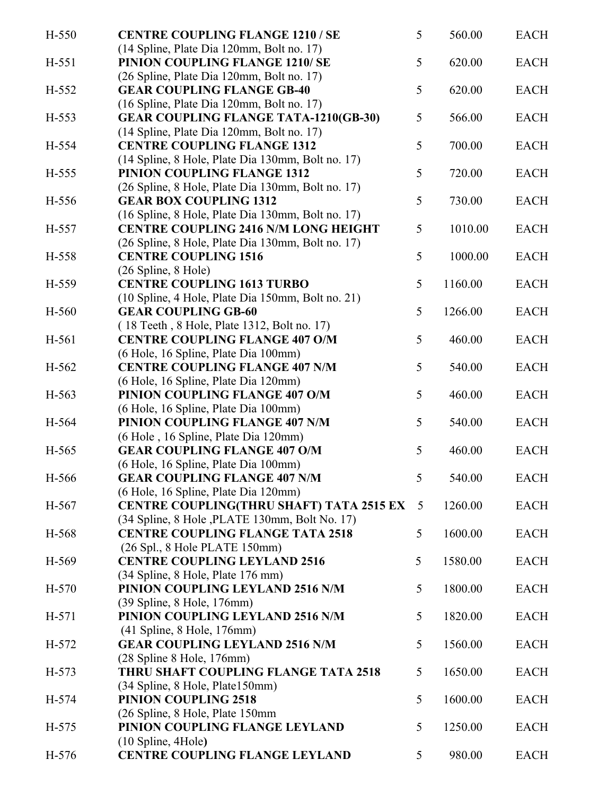| H-550   | <b>CENTRE COUPLING FLANGE 1210 / SE</b>                                                                                   | 5 | 560.00  | <b>EACH</b> |
|---------|---------------------------------------------------------------------------------------------------------------------------|---|---------|-------------|
| H-551   | (14 Spline, Plate Dia 120mm, Bolt no. 17)<br>PINION COUPLING FLANGE 1210/ SE<br>(26 Spline, Plate Dia 120mm, Bolt no. 17) | 5 | 620.00  | <b>EACH</b> |
| H-552   | <b>GEAR COUPLING FLANGE GB-40</b><br>(16 Spline, Plate Dia 120mm, Bolt no. 17)                                            | 5 | 620.00  | <b>EACH</b> |
| H-553   | <b>GEAR COUPLING FLANGE TATA-1210(GB-30)</b><br>(14 Spline, Plate Dia 120mm, Bolt no. 17)                                 | 5 | 566.00  | <b>EACH</b> |
| H-554   | <b>CENTRE COUPLING FLANGE 1312</b><br>(14 Spline, 8 Hole, Plate Dia 130mm, Bolt no. 17)                                   | 5 | 700.00  | <b>EACH</b> |
| H-555   | <b>PINION COUPLING FLANGE 1312</b><br>(26 Spline, 8 Hole, Plate Dia 130mm, Bolt no. 17)                                   | 5 | 720.00  | <b>EACH</b> |
| H-556   | <b>GEAR BOX COUPLING 1312</b><br>(16 Spline, 8 Hole, Plate Dia 130mm, Bolt no. 17)                                        | 5 | 730.00  | <b>EACH</b> |
| H-557   | <b>CENTRE COUPLING 2416 N/M LONG HEIGHT</b><br>(26 Spline, 8 Hole, Plate Dia 130mm, Bolt no. 17)                          | 5 | 1010.00 | <b>EACH</b> |
| H-558   | <b>CENTRE COUPLING 1516</b><br>(26 Spline, 8 Hole)                                                                        | 5 | 1000.00 | <b>EACH</b> |
| H-559   | <b>CENTRE COUPLING 1613 TURBO</b><br>(10 Spline, 4 Hole, Plate Dia 150mm, Bolt no. 21)                                    | 5 | 1160.00 | <b>EACH</b> |
| H-560   | <b>GEAR COUPLING GB-60</b><br>(18 Teeth, 8 Hole, Plate 1312, Bolt no. 17)                                                 | 5 | 1266.00 | <b>EACH</b> |
| H-561   | <b>CENTRE COUPLING FLANGE 407 O/M</b><br>(6 Hole, 16 Spline, Plate Dia 100mm)                                             | 5 | 460.00  | <b>EACH</b> |
| $H-562$ | <b>CENTRE COUPLING FLANGE 407 N/M</b><br>(6 Hole, 16 Spline, Plate Dia 120mm)                                             | 5 | 540.00  | <b>EACH</b> |
| H-563   | PINION COUPLING FLANGE 407 O/M<br>(6 Hole, 16 Spline, Plate Dia 100mm)                                                    | 5 | 460.00  | <b>EACH</b> |
| H-564   | PINION COUPLING FLANGE 407 N/M<br>(6 Hole, 16 Spline, Plate Dia 120mm)                                                    | 5 | 540.00  | <b>EACH</b> |
| H-565   | <b>GEAR COUPLING FLANGE 407 O/M</b><br>(6 Hole, 16 Spline, Plate Dia 100mm)                                               | 5 | 460.00  | <b>EACH</b> |
| H-566   | <b>GEAR COUPLING FLANGE 407 N/M</b><br>(6 Hole, 16 Spline, Plate Dia 120mm)                                               | 5 | 540.00  | <b>EACH</b> |
| H-567   | CENTRE COUPLING(THRU SHAFT) TATA 2515 EX<br>(34 Spline, 8 Hole, PLATE 130mm, Bolt No. 17)                                 | 5 | 1260.00 | <b>EACH</b> |
| H-568   | <b>CENTRE COUPLING FLANGE TATA 2518</b><br>(26 Spl., 8 Hole PLATE 150mm)                                                  | 5 | 1600.00 | <b>EACH</b> |
| H-569   | <b>CENTRE COUPLING LEYLAND 2516</b><br>(34 Spline, 8 Hole, Plate 176 mm)                                                  | 5 | 1580.00 | <b>EACH</b> |
| $H-570$ | PINION COUPLING LEYLAND 2516 N/M<br>(39 Spline, 8 Hole, 176mm)                                                            | 5 | 1800.00 | <b>EACH</b> |
| $H-571$ | PINION COUPLING LEYLAND 2516 N/M<br>$(41$ Spline, 8 Hole, 176mm)                                                          | 5 | 1820.00 | <b>EACH</b> |
| $H-572$ | <b>GEAR COUPLING LEYLAND 2516 N/M</b><br>(28 Spline 8 Hole, 176mm)                                                        | 5 | 1560.00 | <b>EACH</b> |
| $H-573$ | THRU SHAFT COUPLING FLANGE TATA 2518<br>(34 Spline, 8 Hole, Plate150mm)                                                   | 5 | 1650.00 | <b>EACH</b> |
| H-574   | <b>PINION COUPLING 2518</b><br>(26 Spline, 8 Hole, Plate 150mm)                                                           | 5 | 1600.00 | <b>EACH</b> |
| $H-575$ | PINION COUPLING FLANGE LEYLAND<br>(10 Spline, 4Hole)                                                                      | 5 | 1250.00 | <b>EACH</b> |
| H-576   | <b>CENTRE COUPLING FLANGE LEYLAND</b>                                                                                     | 5 | 980.00  | <b>EACH</b> |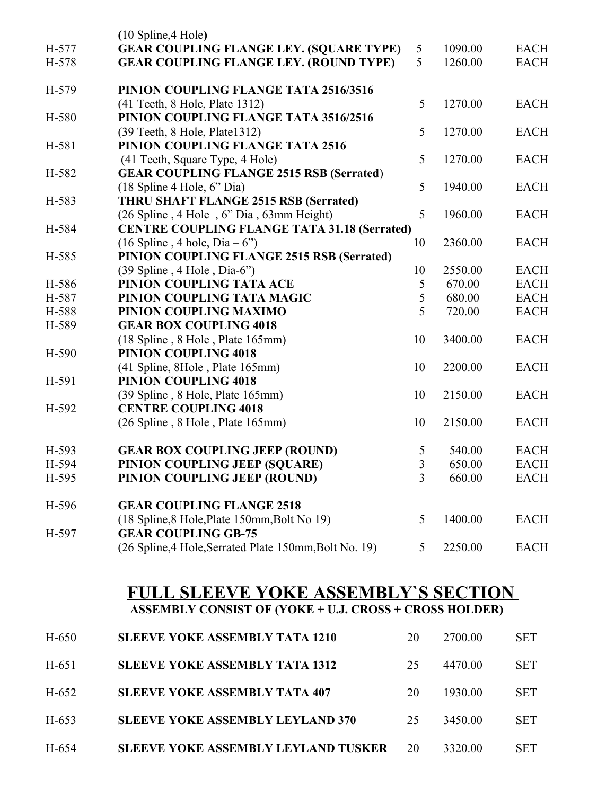|       | (10 Spline, 4 Hole)                                    |    |         |             |
|-------|--------------------------------------------------------|----|---------|-------------|
| H-577 | <b>GEAR COUPLING FLANGE LEY. (SQUARE TYPE)</b>         | 5  | 1090.00 | <b>EACH</b> |
| H-578 | <b>GEAR COUPLING FLANGE LEY. (ROUND TYPE)</b>          | 5  | 1260.00 | <b>EACH</b> |
| H-579 | PINION COUPLING FLANGE TATA 2516/3516                  |    |         |             |
|       | (41 Teeth, 8 Hole, Plate 1312)                         | 5  | 1270.00 | <b>EACH</b> |
| H-580 | PINION COUPLING FLANGE TATA 3516/2516                  |    |         |             |
|       | (39 Teeth, 8 Hole, Plate 1312)                         | 5  | 1270.00 | <b>EACH</b> |
| H-581 | PINION COUPLING FLANGE TATA 2516                       |    |         |             |
|       | (41 Teeth, Square Type, 4 Hole)                        | 5  | 1270.00 | <b>EACH</b> |
| H-582 | <b>GEAR COUPLING FLANGE 2515 RSB (Serrated)</b>        |    |         |             |
|       | $(18 \text{ Spline } 4 \text{ Hole}, 6" \text{ Dia})$  | 5  | 1940.00 | <b>EACH</b> |
| H-583 | <b>THRU SHAFT FLANGE 2515 RSB (Serrated)</b>           |    |         |             |
|       | (26 Spline, 4 Hole, 6" Dia, 63mm Height)               | 5  | 1960.00 | <b>EACH</b> |
| H-584 | <b>CENTRE COUPLING FLANGE TATA 31.18 (Serrated)</b>    |    |         |             |
|       | $(16 Spline, 4 hole, Dia-6")$                          | 10 | 2360.00 | <b>EACH</b> |
| H-585 | PINION COUPLING FLANGE 2515 RSB (Serrated)             |    |         |             |
|       | $(39 Spline, 4 Hole, Dia-6")$                          | 10 | 2550.00 | <b>EACH</b> |
| H-586 | PINION COUPLING TATA ACE                               | 5  | 670.00  | <b>EACH</b> |
| H-587 | PINION COUPLING TATA MAGIC                             | 5  | 680.00  | <b>EACH</b> |
| H-588 | PINION COUPLING MAXIMO                                 | 5  | 720.00  | <b>EACH</b> |
| H-589 | <b>GEAR BOX COUPLING 4018</b>                          |    |         |             |
|       | (18 Spline, 8 Hole, Plate 165mm)                       | 10 | 3400.00 | <b>EACH</b> |
| H-590 | PINION COUPLING 4018                                   |    |         |             |
|       | (41 Spline, 8Hole, Plate 165mm)                        | 10 | 2200.00 | <b>EACH</b> |
| H-591 | PINION COUPLING 4018                                   |    |         |             |
|       | (39 Spline, 8 Hole, Plate 165mm)                       | 10 | 2150.00 | <b>EACH</b> |
| H-592 | <b>CENTRE COUPLING 4018</b>                            |    |         |             |
|       | (26 Spline, 8 Hole, Plate 165mm)                       | 10 | 2150.00 | <b>EACH</b> |
| H-593 | <b>GEAR BOX COUPLING JEEP (ROUND)</b>                  | 5  | 540.00  | <b>EACH</b> |
| H-594 | PINION COUPLING JEEP (SQUARE)                          | 3  | 650.00  | <b>EACH</b> |
| H-595 | PINION COUPLING JEEP (ROUND)                           | 3  | 660.00  | <b>EACH</b> |
| H-596 | <b>GEAR COUPLING FLANGE 2518</b>                       |    |         |             |
|       | (18 Spline, 8 Hole, Plate 150mm, Bolt No 19)           | 5  | 1400.00 | <b>EACH</b> |
| H-597 | <b>GEAR COUPLING GB-75</b>                             |    |         |             |
|       | (26 Spline, 4 Hole, Serrated Plate 150mm, Bolt No. 19) | 5  | 2250.00 | <b>EACH</b> |

## **FULL SLEEVE YOKE ASSEMBLY`S SECTION**

**ASSEMBLY CONSIST OF (YOKE + U.J. CROSS + CROSS HOLDER)**

| $H-650$ | <b>SLEEVE YOKE ASSEMBLY TATA 1210</b>      | 20 | 2700.00 | <b>SET</b> |
|---------|--------------------------------------------|----|---------|------------|
| $H-651$ | <b>SLEEVE YOKE ASSEMBLY TATA 1312</b>      | 25 | 4470.00 | <b>SET</b> |
| $H-652$ | <b>SLEEVE YOKE ASSEMBLY TATA 407</b>       | 20 | 1930.00 | <b>SET</b> |
| $H-653$ | <b>SLEEVE YOKE ASSEMBLY LEYLAND 370</b>    | 25 | 3450.00 | <b>SET</b> |
| H-654   | <b>SLEEVE YOKE ASSEMBLY LEYLAND TUSKER</b> | 20 | 3320.00 | SET        |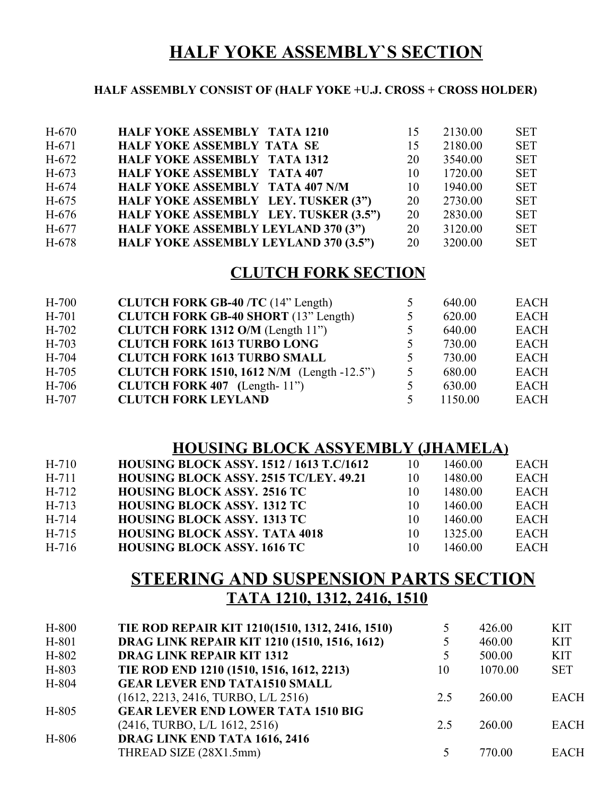## **HALF YOKE ASSEMBLY`S SECTION**

#### **HALF ASSEMBLY CONSIST OF (HALF YOKE +U.J. CROSS + CROSS HOLDER)**

| $H-670$ | <b>HALF YOKE ASSEMBLY TATA 1210</b>    | 15 | 2130.00 | <b>SET</b> |
|---------|----------------------------------------|----|---------|------------|
|         |                                        |    |         |            |
| $H-671$ | <b>HALF YOKE ASSEMBLY TATA SE</b>      | 15 | 2180.00 | <b>SET</b> |
| $H-672$ | <b>HALF YOKE ASSEMBLY TATA 1312</b>    | 20 | 3540.00 | <b>SET</b> |
| H-673   | <b>HALF YOKE ASSEMBLY TATA 407</b>     | 10 | 1720.00 | <b>SET</b> |
| $H-674$ | <b>HALF YOKE ASSEMBLY TATA 407 N/M</b> | 10 | 1940.00 | <b>SET</b> |
| H-675   | HALF YOKE ASSEMBLY LEY. TUSKER (3")    | 20 | 2730.00 | <b>SET</b> |
| $H-676$ | HALF YOKE ASSEMBLY LEY. TUSKER (3.5")  | 20 | 2830.00 | <b>SET</b> |
| H-677   | HALF YOKE ASSEMBLY LEYLAND 370 (3")    | 20 | 3120.00 | <b>SET</b> |
| H-678   | HALF YOKE ASSEMBLY LEYLAND 370 (3.5")  | 20 | 3200.00 | <b>SET</b> |
|         |                                        |    |         |            |

#### **CLUTCH FORK SECTION**

| $H-700$ | <b>CLUTCH FORK GB-40/TC</b> (14" Length)          | 5 | 640.00  | <b>EACH</b> |
|---------|---------------------------------------------------|---|---------|-------------|
| $H-701$ | <b>CLUTCH FORK GB-40 SHORT</b> (13" Length)       | 5 | 620.00  | <b>EACH</b> |
| $H-702$ | CLUTCH FORK 1312 O/M (Length 11")                 | 5 | 640.00  | <b>EACH</b> |
| $H-703$ | <b>CLUTCH FORK 1613 TURBO LONG</b>                | 5 | 730.00  | <b>EACH</b> |
| H-704   | <b>CLUTCH FORK 1613 TURBO SMALL</b>               | 5 | 730.00  | <b>EACH</b> |
| H-705   | <b>CLUTCH FORK 1510, 1612 N/M</b> (Length -12.5") | 5 | 680.00  | <b>EACH</b> |
| $H-706$ | CLUTCH FORK $407$ (Length-11")                    | 5 | 630.00  | <b>EACH</b> |
| $H-707$ | <b>CLUTCH FORK LEYLAND</b>                        | 5 | 1150.00 | <b>EACH</b> |
|         |                                                   |   |         |             |

#### **HOUSING BLOCK ASSYEMBLY (JHAMELA)**

| $H-710$ | <b>HOUSING BLOCK ASSY, 1512 / 1613 T.C/1612</b> | 10 | 1460.00 | <b>EACH</b> |
|---------|-------------------------------------------------|----|---------|-------------|
| H-711   | <b>HOUSING BLOCK ASSY, 2515 TC/LEY, 49.21</b>   | 10 | 1480.00 | <b>EACH</b> |
| H-712   | <b>HOUSING BLOCK ASSY. 2516 TC</b>              | 10 | 1480.00 | EACH        |
| H-713   | <b>HOUSING BLOCK ASSY. 1312 TC</b>              | 10 | 1460.00 | <b>EACH</b> |
| H-714   | <b>HOUSING BLOCK ASSY. 1313 TC</b>              | 10 | 1460.00 | EACH        |
| H-715   | <b>HOUSING BLOCK ASSY. TATA 4018</b>            | 10 | 1325.00 | EACH        |
| H-716   | <b>HOUSING BLOCK ASSY, 1616 TC</b>              | 10 | 1460.00 | <b>EACH</b> |

## **STEERING AND SUSPENSION PARTS SECTION TATA 1210, 1312, 2416, 1510**

| H-800 | TIE ROD REPAIR KIT 1210(1510, 1312, 2416, 1510) |     | 426.00  | <b>KIT</b>  |
|-------|-------------------------------------------------|-----|---------|-------------|
| H-801 | DRAG LINK REPAIR KIT 1210 (1510, 1516, 1612)    |     | 460.00  | <b>KIT</b>  |
| H-802 | <b>DRAG LINK REPAIR KIT 1312</b>                |     | 500.00  | <b>KIT</b>  |
| H-803 | TIE ROD END 1210 (1510, 1516, 1612, 2213)       | 10  | 1070.00 | <b>SET</b>  |
| H-804 | <b>GEAR LEVER END TATA1510 SMALL</b>            |     |         |             |
|       | (1612, 2213, 2416, TURBO, L/L 2516)             | 2.5 | 260.00  | <b>EACH</b> |
| H-805 | <b>GEAR LEVER END LOWER TATA 1510 BIG</b>       |     |         |             |
|       | (2416, TURBO, L/L 1612, 2516)                   | 2.5 | 260.00  | <b>EACH</b> |
| H-806 | DRAG LINK END TATA 1616, 2416                   |     |         |             |
|       | THREAD SIZE (28X1.5mm)                          |     | 770.00  | <b>EACH</b> |
|       |                                                 |     |         |             |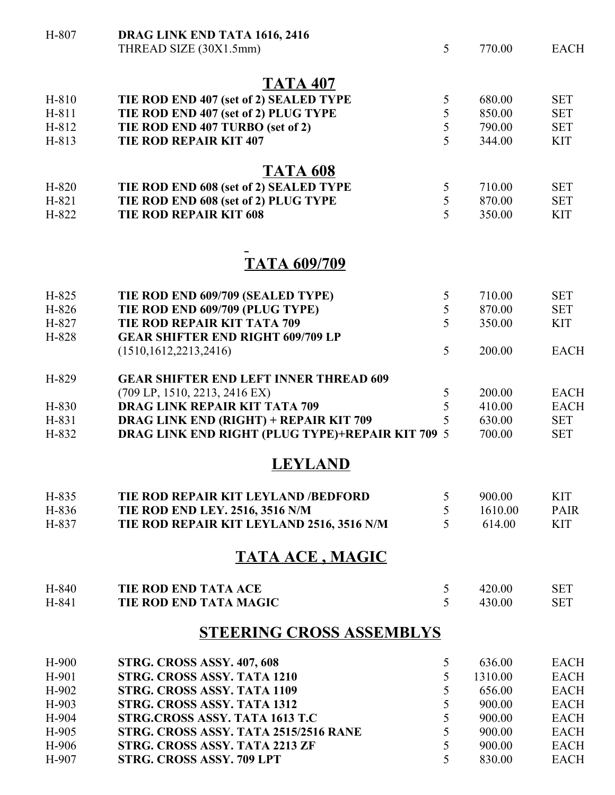| H-807   | DRAG LINK END TATA 1616, 2416                           |   |         |             |
|---------|---------------------------------------------------------|---|---------|-------------|
|         | THREAD SIZE (30X1.5mm)                                  | 5 | 770.00  | <b>EACH</b> |
|         | <b>TATA 407</b>                                         |   |         |             |
| H-810   | TIE ROD END 407 (set of 2) SEALED TYPE                  | 5 | 680.00  | <b>SET</b>  |
| H-811   | TIE ROD END 407 (set of 2) PLUG TYPE                    | 5 | 850.00  | <b>SET</b>  |
| H-812   | TIE ROD END 407 TURBO (set of 2)                        | 5 | 790.00  | <b>SET</b>  |
| H-813   | <b>TIE ROD REPAIR KIT 407</b>                           | 5 | 344.00  | <b>KIT</b>  |
|         | <b>TATA 608</b>                                         |   |         |             |
| H-820   | TIE ROD END 608 (set of 2) SEALED TYPE                  | 5 | 710.00  | <b>SET</b>  |
| H-821   | TIE ROD END 608 (set of 2) PLUG TYPE                    | 5 | 870.00  | <b>SET</b>  |
| H-822   | <b>TIE ROD REPAIR KIT 608</b>                           | 5 | 350.00  | <b>KIT</b>  |
|         |                                                         |   |         |             |
|         | <b>TATA 609/709</b>                                     |   |         |             |
| H-825   | TIE ROD END 609/709 (SEALED TYPE)                       | 5 | 710.00  | <b>SET</b>  |
| H-826   | TIE ROD END 609/709 (PLUG TYPE)                         | 5 | 870.00  | <b>SET</b>  |
| H-827   | TIE ROD REPAIR KIT TATA 709                             | 5 | 350.00  | <b>KIT</b>  |
| H-828   | <b>GEAR SHIFTER END RIGHT 609/709 LP</b>                |   |         |             |
|         | (1510, 1612, 2213, 2416)                                | 5 | 200.00  | <b>EACH</b> |
| H-829   | <b>GEAR SHIFTER END LEFT INNER THREAD 609</b>           |   |         |             |
|         | (709 LP, 1510, 2213, 2416 EX)                           | 5 | 200.00  | <b>EACH</b> |
| H-830   | <b>DRAG LINK REPAIR KIT TATA 709</b>                    | 5 | 410.00  | <b>EACH</b> |
| H-831   | <b>DRAG LINK END (RIGHT) + REPAIR KIT 709</b>           | 5 | 630.00  | <b>SET</b>  |
| H-832   | <b>DRAG LINK END RIGHT (PLUG TYPE)+REPAIR KIT 709 5</b> |   | 700.00  | <b>SET</b>  |
|         | <b>LEYLAND</b>                                          |   |         |             |
| H-835   | TIE ROD REPAIR KIT LEYLAND /BEDFORD                     | 5 | 900.00  | <b>KIT</b>  |
| H-836   | <b>TIE ROD END LEY. 2516, 3516 N/M</b>                  | 5 | 1610.00 | <b>PAIR</b> |
| H-837   | TIE ROD REPAIR KIT LEYLAND 2516, 3516 N/M               | 5 | 614.00  | <b>KIT</b>  |
|         | <b>TATA ACE, MAGIC</b>                                  |   |         |             |
| H-840   | <b>TIE ROD END TATA ACE</b>                             | 5 | 420.00  | <b>SET</b>  |
| H-841   | <b>TIE ROD END TATA MAGIC</b>                           | 5 | 430.00  | <b>SET</b>  |
|         | <b>STEERING CROSS ASSEMBLYS</b>                         |   |         |             |
| $H-900$ | <b>STRG. CROSS ASSY. 407, 608</b>                       | 5 | 636.00  | <b>EACH</b> |
| H-901   | <b>STRG. CROSS ASSY. TATA 1210</b>                      | 5 | 1310.00 | <b>EACH</b> |
| $H-902$ | <b>STRG. CROSS ASSY. TATA 1109</b>                      | 5 | 656.00  | <b>EACH</b> |
| H-903   | STRG. CROSS ASSY. TATA 1312                             | 5 | 900.00  | <b>EACH</b> |
| H-904   | STRG.CROSS ASSY. TATA 1613 T.C                          | 5 | 900.00  | <b>EACH</b> |
| H-905   | STRG. CROSS ASSY. TATA 2515/2516 RANE                   | 5 | 900.00  | <b>EACH</b> |
| H-906   | STRG. CROSS ASSY. TATA 2213 ZF                          | 5 | 900.00  | <b>EACH</b> |
| H-907   | <b>STRG. CROSS ASSY. 709 LPT</b>                        | 5 | 830.00  | <b>EACH</b> |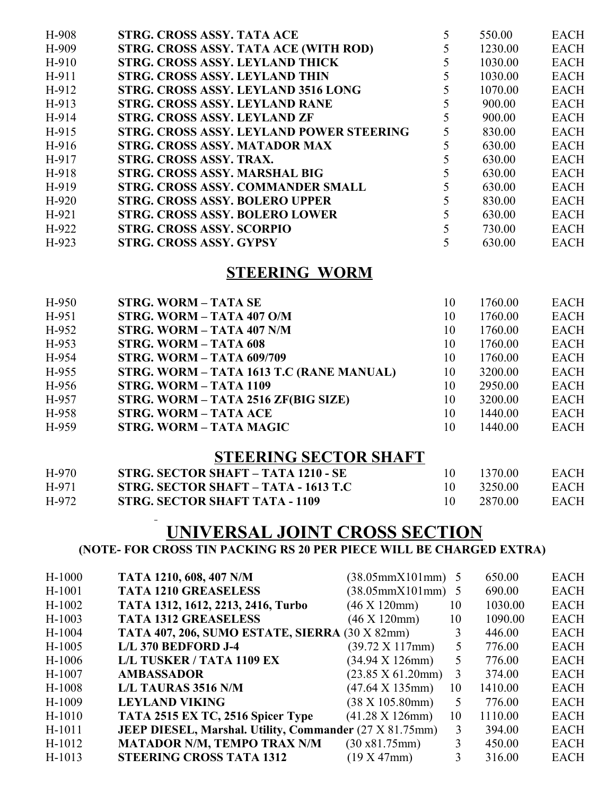| H-908   | STRG. CROSS ASSY. TATA ACE               | 550.00  | <b>EACH</b> |
|---------|------------------------------------------|---------|-------------|
|         |                                          |         |             |
| $H-909$ | STRG. CROSS ASSY. TATA ACE (WITH ROD)    | 1230.00 | <b>EACH</b> |
| $H-910$ | STRG. CROSS ASSY. LEYLAND THICK          | 1030.00 | <b>EACH</b> |
| H-911   | STRG. CROSS ASSY. LEYLAND THIN           | 1030.00 | <b>EACH</b> |
| H-912   | STRG. CROSS ASSY. LEYLAND 3516 LONG      | 1070.00 | <b>EACH</b> |
| H-913   | <b>STRG. CROSS ASSY. LEYLAND RANE</b>    | 900.00  | <b>EACH</b> |
| H-914   | STRG. CROSS ASSY. LEYLAND ZF             | 900.00  | <b>EACH</b> |
| H-915   | STRG. CROSS ASSY. LEYLAND POWER STEERING | 830.00  | <b>EACH</b> |
| $H-916$ | STRG. CROSS ASSY. MATADOR MAX            | 630.00  | <b>EACH</b> |
| H-917   | STRG. CROSS ASSY. TRAX.                  | 630.00  | <b>EACH</b> |
| H-918   | STRG. CROSS ASSY. MARSHAL BIG            | 630.00  | <b>EACH</b> |
| H-919   | STRG. CROSS ASSY. COMMANDER SMALL        | 630.00  | <b>EACH</b> |
| $H-920$ | <b>STRG. CROSS ASSY. BOLERO UPPER</b>    | 830.00  | <b>EACH</b> |
| $H-921$ | <b>STRG. CROSS ASSY. BOLERO LOWER</b>    | 630.00  | <b>EACH</b> |
| $H-922$ | <b>STRG. CROSS ASSY. SCORPIO</b>         | 730.00  | <b>EACH</b> |
| $H-923$ | <b>STRG. CROSS ASSY. GYPSY</b>           | 630.00  | <b>EACH</b> |

#### **STEERING WORM**

| $H-950$ | <b>STRG. WORM - TATA SE</b>              | 10 | 1760.00 | <b>EACH</b> |
|---------|------------------------------------------|----|---------|-------------|
| H-951   | STRG. WORM - TATA 407 O/M                | 10 | 1760.00 | <b>EACH</b> |
| $H-952$ | STRG. WORM - TATA 407 N/M                | 10 | 1760.00 | <b>EACH</b> |
| $H-953$ | <b>STRG. WORM - TATA 608</b>             | 10 | 1760.00 | <b>EACH</b> |
| H-954   | <b>STRG. WORM - TATA 609/709</b>         | 10 | 1760.00 | <b>EACH</b> |
| $H-955$ | STRG. WORM - TATA 1613 T.C (RANE MANUAL) | 10 | 3200.00 | <b>EACH</b> |
| H-956   | STRG. WORM - TATA 1109                   | 10 | 2950.00 | <b>EACH</b> |
| H-957   | STRG. WORM - TATA 2516 ZF(BIG SIZE)      | 10 | 3200.00 | <b>EACH</b> |
| H-958   | <b>STRG. WORM - TATA ACE</b>             | 10 | 1440.00 | <b>EACH</b> |
| H-959   | <b>STRG. WORM - TATA MAGIC</b>           | 10 | 1440.00 | <b>EACH</b> |

#### **STEERING SECTOR SHAFT**

| $H-970$ | STRG. SECTOR SHAFT – TATA 1210 - SE   | 1370.00 | EACH |
|---------|---------------------------------------|---------|------|
| H-971   | STRG. SECTOR SHAFT – TATA - 1613 T.C  | 3250.00 | EACH |
| H-972   | <b>STRG. SECTOR SHAFT TATA - 1109</b> | 2870.00 | EACH |

# **UNIVERSAL JOINT CROSS SECTION**

#### **(NOTE- FOR CROSS TIN PACKING RS 20 PER PIECE WILL BE CHARGED EXTRA)**

| $H-1000$ | TATA 1210, 608, 407 N/M                                        | $(38.05 \text{mm} \times 101 \text{mm})$   |    | 650.00  | <b>EACH</b> |
|----------|----------------------------------------------------------------|--------------------------------------------|----|---------|-------------|
| $H-1001$ | <b>TATA 1210 GREASELESS</b>                                    | $(38.05 \text{mm} \times 101 \text{mm})$ 5 |    | 690.00  | <b>EACH</b> |
| $H-1002$ | TATA 1312, 1612, 2213, 2416, Turbo                             | $(46 \times 120 \text{mm})$                | 10 | 1030.00 | <b>EACH</b> |
| $H-1003$ | <b>TATA 1312 GREASELESS</b>                                    | $(46 \times 120$ mm $)$                    | 10 | 1090.00 | <b>EACH</b> |
| $H-1004$ | TATA 407, 206, SUMO ESTATE, SIERRA (30 X 82mm)                 |                                            | 3  | 446.00  | <b>EACH</b> |
| $H-1005$ | L/L 370 BEDFORD J-4                                            | $(39.72 \times 117)$ mm $)$                | 5  | 776.00  | <b>EACH</b> |
| H-1006   | L/L TUSKER / TATA 1109 EX                                      | $(34.94 \text{ X } 126 \text{mm})$         | 5  | 776.00  | <b>EACH</b> |
| H-1007   | <b>AMBASSADOR</b>                                              | $(23.85 \text{ X } 61.20 \text{mm})$       | 3  | 374.00  | <b>EACH</b> |
| $H-1008$ | <b>L/L TAURAS 3516 N/M</b>                                     | $(47.64 \text{ X } 135 \text{mm})$         | 10 | 1410.00 | <b>EACH</b> |
| H-1009   | <b>LEYLAND VIKING</b>                                          | $(38 \text{ X } 105.80 \text{mm})$         | 5  | 776.00  | <b>EACH</b> |
| $H-1010$ | TATA 2515 EX TC, 2516 Spicer Type                              | $(41.28 \text{ X } 126 \text{mm})$         | 10 | 1110.00 | <b>EACH</b> |
| H-1011   | <b>JEEP DIESEL, Marshal. Utility, Commander (27 X 81.75mm)</b> |                                            | 3  | 394.00  | <b>EACH</b> |
| H-1012   | <b>MATADOR N/M, TEMPO TRAX N/M</b>                             | (30 x 81.75 mm)                            |    | 450.00  | <b>EACH</b> |
| $H-1013$ | <b>STEERING CROSS TATA 1312</b>                                | (19 X 47mm)                                | 3  | 316.00  | <b>EACH</b> |